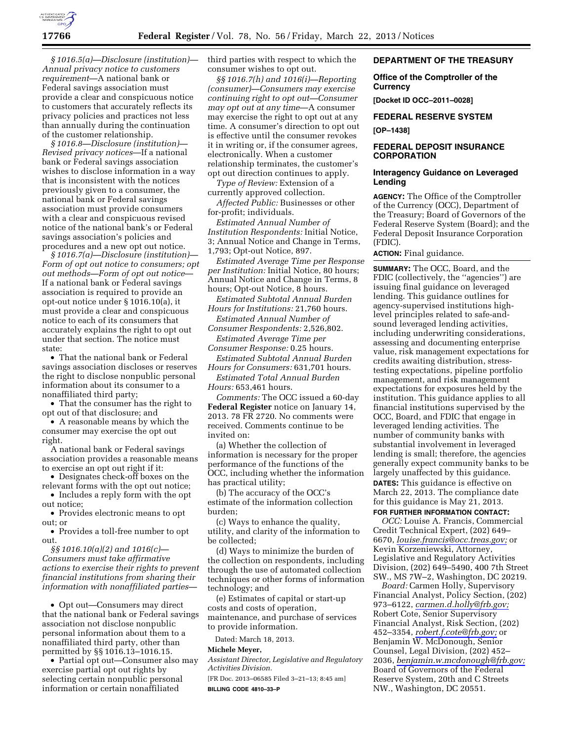

*§ 1016.5(a)—Disclosure (institution)— Annual privacy notice to customers requirement*—A national bank or Federal savings association must provide a clear and conspicuous notice to customers that accurately reflects its privacy policies and practices not less than annually during the continuation of the customer relationship.

*§ 1016.8—Disclosure (institution)— Revised privacy notices*—If a national bank or Federal savings association wishes to disclose information in a way that is inconsistent with the notices previously given to a consumer, the national bank or Federal savings association must provide consumers with a clear and conspicuous revised notice of the national bank's or Federal savings association's policies and procedures and a new opt out notice.

*§ 1016.7(a)—Disclosure (institution)— Form of opt out notice to consumers; opt out methods—Form of opt out notice*— If a national bank or Federal savings association is required to provide an opt-out notice under § 1016.10(a), it must provide a clear and conspicuous notice to each of its consumers that accurately explains the right to opt out under that section. The notice must state:

• That the national bank or Federal savings association discloses or reserves the right to disclose nonpublic personal information about its consumer to a nonaffiliated third party;

• That the consumer has the right to opt out of that disclosure; and

• A reasonable means by which the consumer may exercise the opt out right.

A national bank or Federal savings association provides a reasonable means to exercise an opt out right if it:

• Designates check-off boxes on the relevant forms with the opt out notice;

• Includes a reply form with the opt out notice;

• Provides electronic means to opt out; or

• Provides a toll-free number to opt out.

*§§ 1016.10(a)(2) and 1016(c)— Consumers must take affirmative actions to exercise their rights to prevent financial institutions from sharing their information with nonaffiliated parties—* 

• Opt out—Consumers may direct that the national bank or Federal savings association not disclose nonpublic personal information about them to a nonaffiliated third party, other than permitted by §§ 1016.13–1016.15.

• Partial opt out—Consumer also may exercise partial opt out rights by selecting certain nonpublic personal information or certain nonaffiliated

third parties with respect to which the consumer wishes to opt out.

*§§ 1016.7(h) and 1016(i)—Reporting (consumer)—Consumers may exercise continuing right to opt out—Consumer may opt out at any time*—A consumer may exercise the right to opt out at any time. A consumer's direction to opt out is effective until the consumer revokes it in writing or, if the consumer agrees, electronically. When a customer relationship terminates, the customer's opt out direction continues to apply.

*Type of Review:* Extension of a currently approved collection.

*Affected Public:* Businesses or other for-profit; individuals.

*Estimated Annual Number of Institution Respondents:* Initial Notice, 3; Annual Notice and Change in Terms, 1,793; Opt-out Notice, 897.

*Estimated Average Time per Response per Institution:* Initial Notice, 80 hours; Annual Notice and Change in Terms, 8 hours; Opt-out Notice, 8 hours.

*Estimated Subtotal Annual Burden Hours for Institutions:* 21,760 hours.

*Estimated Annual Number of Consumer Respondents:* 2,526,802.

*Estimated Average Time per Consumer Response:* 0.25 hours.

*Estimated Subtotal Annual Burden Hours for Consumers:* 631,701 hours.

*Estimated Total Annual Burden Hours:* 653,461 hours.

*Comments:* The OCC issued a 60-day **Federal Register** notice on January 14, 2013. 78 FR 2720. No comments were received. Comments continue to be invited on:

(a) Whether the collection of information is necessary for the proper performance of the functions of the OCC, including whether the information has practical utility;

(b) The accuracy of the OCC's estimate of the information collection burden;

(c) Ways to enhance the quality, utility, and clarity of the information to be collected;

(d) Ways to minimize the burden of the collection on respondents, including through the use of automated collection techniques or other forms of information technology; and

(e) Estimates of capital or start-up costs and costs of operation, maintenance, and purchase of services to provide information.

Dated: March 18, 2013.

## **Michele Meyer,**

*Assistant Director, Legislative and Regulatory Activities Division.* 

[FR Doc. 2013–06585 Filed 3–21–13; 8:45 am] **BILLING CODE 4810–33–P** 

# **DEPARTMENT OF THE TREASURY**

**Office of the Comptroller of the Currency** 

**[Docket ID OCC–2011–0028]** 

**FEDERAL RESERVE SYSTEM** 

#### **[OP–1438]**

# **FEDERAL DEPOSIT INSURANCE CORPORATION**

# **Interagency Guidance on Leveraged Lending**

**AGENCY:** The Office of the Comptroller of the Currency (OCC), Department of the Treasury; Board of Governors of the Federal Reserve System (Board); and the Federal Deposit Insurance Corporation (FDIC).

**ACTION:** Final guidance.

**SUMMARY:** The OCC, Board, and the FDIC (collectively, the ''agencies'') are issuing final guidance on leveraged lending. This guidance outlines for agency-supervised institutions highlevel principles related to safe-andsound leveraged lending activities, including underwriting considerations, assessing and documenting enterprise value, risk management expectations for credits awaiting distribution, stresstesting expectations, pipeline portfolio management, and risk management expectations for exposures held by the institution. This guidance applies to all financial institutions supervised by the OCC, Board, and FDIC that engage in leveraged lending activities. The number of community banks with substantial involvement in leveraged lending is small; therefore, the agencies generally expect community banks to be largely unaffected by this guidance. **DATES:** This guidance is effective on March 22, 2013. The compliance date for this guidance is May 21, 2013. **FOR FURTHER INFORMATION CONTACT:**

*OCC:* Louise A. Francis, Commercial Credit Technical Expert, (202) 649– 6670, *[louise.francis@occ.treas.gov;](mailto:louise.francis@occ.treas.gov)* or Kevin Korzeniewski, Attorney, Legislative and Regulatory Activities Division, (202) 649–5490, 400 7th Street SW., MS 7W–2, Washington, DC 20219.

*Board:* Carmen Holly, Supervisory Financial Analyst, Policy Section, (202) 973–6122, *[carmen.d.holly@frb.gov;](mailto:carmen.d.holly@frb.gov)*  Robert Cote, Senior Supervisory Financial Analyst, Risk Section, (202) 452–3354, *[robert.f.cote@frb.gov;](mailto:robert.f.cote@frb.gov)* or Benjamin W. McDonough, Senior Counsel, Legal Division, (202) 452– 2036, *[benjamin.w.mcdonough@frb.gov;](mailto:benjamin.w.mcdonough@frb.gov)*  Board of Governors of the Federal Reserve System, 20th and C Streets NW., Washington, DC 20551.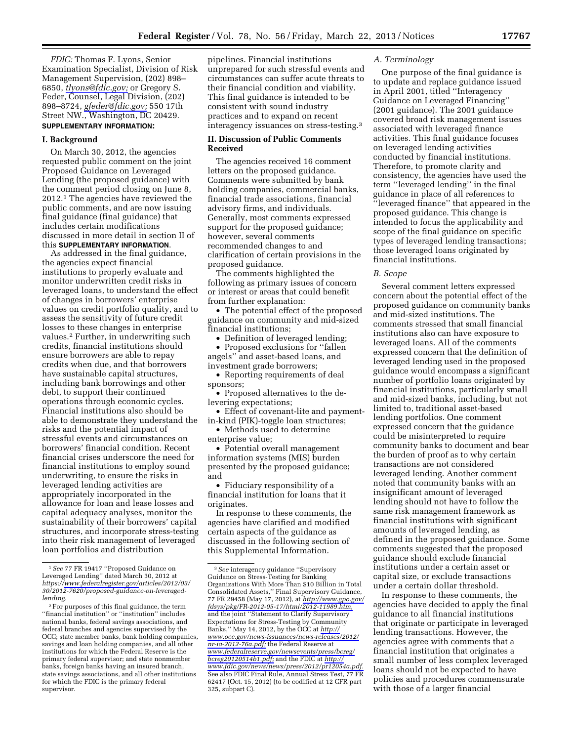*FDIC:* Thomas F. Lyons, Senior Examination Specialist, Division of Risk Management Supervision, (202) 898– 6850, *[tlyons@fdic.gov;](mailto:tlyons@fdic.gov)* or Gregory S. Feder, Counsel, Legal Division, (202) 898–8724, *[gfeder@fdic.gov;](mailto:gfeder@fdic.gov)* 550 17th Street NW., Washington, DC 20429. **SUPPLEMENTARY INFORMATION:** 

# **I. Background**

On March 30, 2012, the agencies requested public comment on the joint Proposed Guidance on Leveraged Lending (the proposed guidance) with the comment period closing on June 8, 2012.1 The agencies have reviewed the public comments, and are now issuing final guidance (final guidance) that includes certain modifications discussed in more detail in section II of this **SUPPLEMENTARY INFORMATION**.

As addressed in the final guidance, the agencies expect financial institutions to properly evaluate and monitor underwritten credit risks in leveraged loans, to understand the effect of changes in borrowers' enterprise values on credit portfolio quality, and to assess the sensitivity of future credit losses to these changes in enterprise values.2 Further, in underwriting such credits, financial institutions should ensure borrowers are able to repay credits when due, and that borrowers have sustainable capital structures, including bank borrowings and other debt, to support their continued operations through economic cycles. Financial institutions also should be able to demonstrate they understand the risks and the potential impact of stressful events and circumstances on borrowers' financial condition. Recent financial crises underscore the need for financial institutions to employ sound underwriting, to ensure the risks in leveraged lending activities are appropriately incorporated in the allowance for loan and lease losses and capital adequacy analyses, monitor the sustainability of their borrowers' capital structures, and incorporate stress-testing into their risk management of leveraged loan portfolios and distribution

pipelines. Financial institutions unprepared for such stressful events and circumstances can suffer acute threats to their financial condition and viability. This final guidance is intended to be consistent with sound industry practices and to expand on recent interagency issuances on stress-testing.3

# **II. Discussion of Public Comments Received**

The agencies received 16 comment letters on the proposed guidance. Comments were submitted by bank holding companies, commercial banks, financial trade associations, financial advisory firms, and individuals. Generally, most comments expressed support for the proposed guidance; however, several comments recommended changes to and clarification of certain provisions in the proposed guidance.

The comments highlighted the following as primary issues of concern or interest or areas that could benefit from further explanation:

• The potential effect of the proposed guidance on community and mid-sized financial institutions;

• Definition of leveraged lending;

• Proposed exclusions for "fallen" angels'' and asset-based loans, and investment grade borrowers;

• Reporting requirements of deal sponsors;

• Proposed alternatives to the delevering expectations;

• Effect of covenant-lite and paymentin-kind (PIK)-toggle loan structures;

• Methods used to determine enterprise value;

• Potential overall management information systems (MIS) burden presented by the proposed guidance; and

• Fiduciary responsibility of a financial institution for loans that it originates.

In response to these comments, the agencies have clarified and modified certain aspects of the guidance as discussed in the following section of this Supplemental Information.

# *A. Terminology*

One purpose of the final guidance is to update and replace guidance issued in April 2001, titled ''Interagency Guidance on Leveraged Financing'' (2001 guidance). The 2001 guidance covered broad risk management issues associated with leveraged finance activities. This final guidance focuses on leveraged lending activities conducted by financial institutions. Therefore, to promote clarity and consistency, the agencies have used the term ''leveraged lending'' in the final guidance in place of all references to ''leveraged finance'' that appeared in the proposed guidance. This change is intended to focus the applicability and scope of the final guidance on specific types of leveraged lending transactions; those leveraged loans originated by financial institutions.

#### *B. Scope*

Several comment letters expressed concern about the potential effect of the proposed guidance on community banks and mid-sized institutions. The comments stressed that small financial institutions also can have exposure to leveraged loans. All of the comments expressed concern that the definition of leveraged lending used in the proposed guidance would encompass a significant number of portfolio loans originated by financial institutions, particularly small and mid-sized banks, including, but not limited to, traditional asset-based lending portfolios. One comment expressed concern that the guidance could be misinterpreted to require community banks to document and bear the burden of proof as to why certain transactions are not considered leveraged lending. Another comment noted that community banks with an insignificant amount of leveraged lending should not have to follow the same risk management framework as financial institutions with significant amounts of leveraged lending, as defined in the proposed guidance. Some comments suggested that the proposed guidance should exclude financial institutions under a certain asset or capital size, or exclude transactions under a certain dollar threshold.

In response to these comments, the agencies have decided to apply the final guidance to all financial institutions that originate or participate in leveraged lending transactions. However, the agencies agree with comments that a financial institution that originates a small number of less complex leveraged loans should not be expected to have policies and procedures commensurate with those of a larger financial

<sup>1</sup>*See* 77 FR 19417 ''Proposed Guidance on Leveraged Lending'' dated March 30, 2012 at *https://[www.federalregister.gov/](http://www.federalregister.gov)articles/2012/03/ 30/2012-7620/proposed-guidance-on-leveragedlending.* 

<sup>2</sup>For purposes of this final guidance, the term ''financial institution'' or ''institution'' includes national banks, federal savings associations, and federal branches and agencies supervised by the OCC; state member banks, bank holding companies, savings and loan holding companies, and all other institutions for which the Federal Reserve is the primary federal supervisor; and state nonmember banks, foreign banks having an insured branch, state savings associations, and all other institutions for which the FDIC is the primary federal supervisor.

<sup>3</sup>*See* interagency guidance ''Supervisory Guidance on Stress-Testing for Banking Organizations With More Than \$10 Billion in Total Consolidated Assets,'' Final Supervisory Guidance, 77 FR 29458 (May 17, 2012), at *[http://www.gpo.gov/](http://www.gpo.gov/fdsys/pkg/FR-2012-05-17/html/2012-11989.htm) [fdsys/pkg/FR-2012-05-17/html/2012-11989.htm,](http://www.gpo.gov/fdsys/pkg/FR-2012-05-17/html/2012-11989.htm)*  and the joint ''Statement to Clarify Supervisory Expectations for Stress-Testing by Community Banks,'' May 14, 2012, by the OCC at *[http://](http://www.occ.gov/news-issuances/news-releases/2012/nr-ia-2012-76a.pdf) [www.occ.gov/news-issuances/news-releases/2012/](http://www.occ.gov/news-issuances/news-releases/2012/nr-ia-2012-76a.pdf)  [nr-ia-2012-76a.pdf;](http://www.occ.gov/news-issuances/news-releases/2012/nr-ia-2012-76a.pdf)* the Federal Reserve at *[www.federalreserve.gov/newsevents/press/bcreg/](http://www.federalreserve.gov/newsevents/press/bcreg/bcreg20120514b1.pdf) [bcreg20120514b1.pdf;](http://www.federalreserve.gov/newsevents/press/bcreg/bcreg20120514b1.pdf)* and the FDIC at *[http://](http://www.fdic.gov/news/news/press/2012/pr12054a.pdf) [www.fdic.gov/news/news/press/2012/pr12054a.pdf.](http://www.fdic.gov/news/news/press/2012/pr12054a.pdf)*  See also FDIC Final Rule, Annual Stress Test, 77 FR 62417 (Oct. 15, 2012) (to be codified at 12 CFR part 325, subpart C).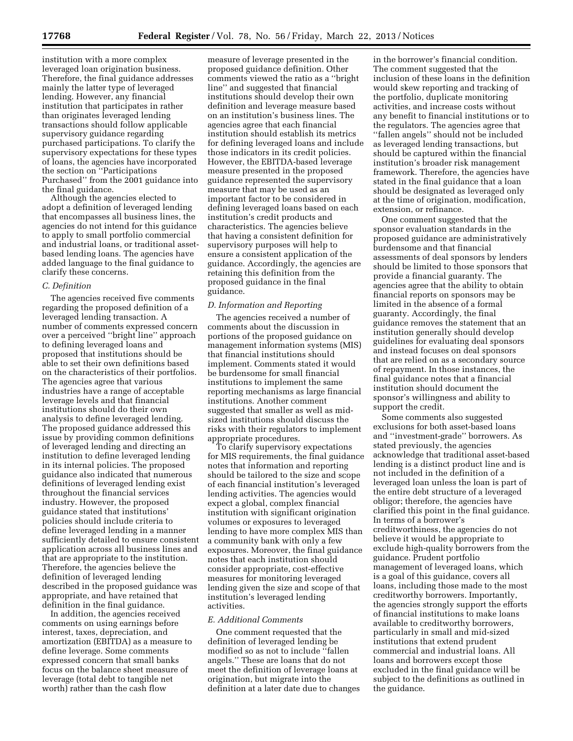institution with a more complex leveraged loan origination business. Therefore, the final guidance addresses mainly the latter type of leveraged lending. However, any financial institution that participates in rather than originates leveraged lending transactions should follow applicable supervisory guidance regarding purchased participations. To clarify the supervisory expectations for these types of loans, the agencies have incorporated the section on ''Participations Purchased'' from the 2001 guidance into the final guidance.

Although the agencies elected to adopt a definition of leveraged lending that encompasses all business lines, the agencies do not intend for this guidance to apply to small portfolio commercial and industrial loans, or traditional assetbased lending loans. The agencies have added language to the final guidance to clarify these concerns.

## *C. Definition*

The agencies received five comments regarding the proposed definition of a leveraged lending transaction. A number of comments expressed concern over a perceived ''bright line'' approach to defining leveraged loans and proposed that institutions should be able to set their own definitions based on the characteristics of their portfolios. The agencies agree that various industries have a range of acceptable leverage levels and that financial institutions should do their own analysis to define leveraged lending. The proposed guidance addressed this issue by providing common definitions of leveraged lending and directing an institution to define leveraged lending in its internal policies. The proposed guidance also indicated that numerous definitions of leveraged lending exist throughout the financial services industry. However, the proposed guidance stated that institutions' policies should include criteria to define leveraged lending in a manner sufficiently detailed to ensure consistent application across all business lines and that are appropriate to the institution. Therefore, the agencies believe the definition of leveraged lending described in the proposed guidance was appropriate, and have retained that definition in the final guidance.

In addition, the agencies received comments on using earnings before interest, taxes, depreciation, and amortization (EBITDA) as a measure to define leverage. Some comments expressed concern that small banks focus on the balance sheet measure of leverage (total debt to tangible net worth) rather than the cash flow

measure of leverage presented in the proposed guidance definition. Other comments viewed the ratio as a ''bright line'' and suggested that financial institutions should develop their own definition and leverage measure based on an institution's business lines. The agencies agree that each financial institution should establish its metrics for defining leveraged loans and include those indicators in its credit policies. However, the EBITDA-based leverage measure presented in the proposed guidance represented the supervisory measure that may be used as an important factor to be considered in defining leveraged loans based on each institution's credit products and characteristics. The agencies believe that having a consistent definition for supervisory purposes will help to ensure a consistent application of the guidance. Accordingly, the agencies are retaining this definition from the proposed guidance in the final guidance.

#### *D. Information and Reporting*

The agencies received a number of comments about the discussion in portions of the proposed guidance on management information systems (MIS) that financial institutions should implement. Comments stated it would be burdensome for small financial institutions to implement the same reporting mechanisms as large financial institutions. Another comment suggested that smaller as well as midsized institutions should discuss the risks with their regulators to implement appropriate procedures.

To clarify supervisory expectations for MIS requirements, the final guidance notes that information and reporting should be tailored to the size and scope of each financial institution's leveraged lending activities. The agencies would expect a global, complex financial institution with significant origination volumes or exposures to leveraged lending to have more complex MIS than a community bank with only a few exposures. Moreover, the final guidance notes that each institution should consider appropriate, cost-effective measures for monitoring leveraged lending given the size and scope of that institution's leveraged lending activities.

# *E. Additional Comments*

One comment requested that the definition of leveraged lending be modified so as not to include ''fallen angels.'' These are loans that do not meet the definition of leverage loans at origination, but migrate into the definition at a later date due to changes in the borrower's financial condition. The comment suggested that the inclusion of these loans in the definition would skew reporting and tracking of the portfolio, duplicate monitoring activities, and increase costs without any benefit to financial institutions or to the regulators. The agencies agree that ''fallen angels'' should not be included as leveraged lending transactions, but should be captured within the financial institution's broader risk management framework. Therefore, the agencies have stated in the final guidance that a loan should be designated as leveraged only at the time of origination, modification, extension, or refinance.

One comment suggested that the sponsor evaluation standards in the proposed guidance are administratively burdensome and that financial assessments of deal sponsors by lenders should be limited to those sponsors that provide a financial guaranty. The agencies agree that the ability to obtain financial reports on sponsors may be limited in the absence of a formal guaranty. Accordingly, the final guidance removes the statement that an institution generally should develop guidelines for evaluating deal sponsors and instead focuses on deal sponsors that are relied on as a secondary source of repayment. In those instances, the final guidance notes that a financial institution should document the sponsor's willingness and ability to support the credit.

Some comments also suggested exclusions for both asset-based loans and ''investment-grade'' borrowers. As stated previously, the agencies acknowledge that traditional asset-based lending is a distinct product line and is not included in the definition of a leveraged loan unless the loan is part of the entire debt structure of a leveraged obligor; therefore, the agencies have clarified this point in the final guidance. In terms of a borrower's creditworthiness, the agencies do not believe it would be appropriate to exclude high-quality borrowers from the guidance. Prudent portfolio management of leveraged loans, which is a goal of this guidance, covers all loans, including those made to the most creditworthy borrowers. Importantly, the agencies strongly support the efforts of financial institutions to make loans available to creditworthy borrowers, particularly in small and mid-sized institutions that extend prudent commercial and industrial loans. All loans and borrowers except those excluded in the final guidance will be subject to the definitions as outlined in the guidance.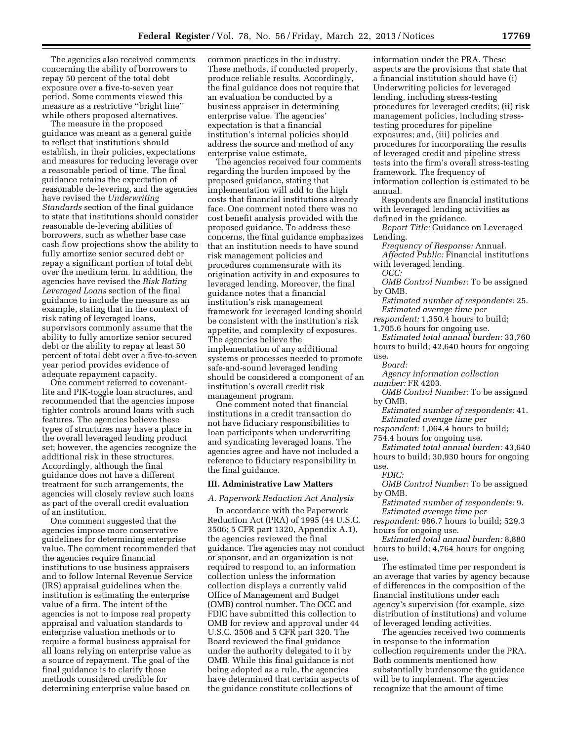The agencies also received comments concerning the ability of borrowers to repay 50 percent of the total debt exposure over a five-to-seven year period. Some comments viewed this measure as a restrictive ''bright line'' while others proposed alternatives.

The measure in the proposed guidance was meant as a general guide to reflect that institutions should establish, in their policies, expectations and measures for reducing leverage over a reasonable period of time. The final guidance retains the expectation of reasonable de-levering, and the agencies have revised the *Underwriting Standards* section of the final guidance to state that institutions should consider reasonable de-levering abilities of borrowers, such as whether base case cash flow projections show the ability to fully amortize senior secured debt or repay a significant portion of total debt over the medium term. In addition, the agencies have revised the *Risk Rating Leveraged Loans* section of the final guidance to include the measure as an example, stating that in the context of risk rating of leveraged loans, supervisors commonly assume that the ability to fully amortize senior secured debt or the ability to repay at least 50 percent of total debt over a five-to-seven year period provides evidence of adequate repayment capacity.

One comment referred to covenantlite and PIK-toggle loan structures, and recommended that the agencies impose tighter controls around loans with such features. The agencies believe these types of structures may have a place in the overall leveraged lending product set; however, the agencies recognize the additional risk in these structures. Accordingly, although the final guidance does not have a different treatment for such arrangements, the agencies will closely review such loans as part of the overall credit evaluation of an institution.

One comment suggested that the agencies impose more conservative guidelines for determining enterprise value. The comment recommended that the agencies require financial institutions to use business appraisers and to follow Internal Revenue Service (IRS) appraisal guidelines when the institution is estimating the enterprise value of a firm. The intent of the agencies is not to impose real property appraisal and valuation standards to enterprise valuation methods or to require a formal business appraisal for all loans relying on enterprise value as a source of repayment. The goal of the final guidance is to clarify those methods considered credible for determining enterprise value based on

common practices in the industry. These methods, if conducted properly, produce reliable results. Accordingly, the final guidance does not require that an evaluation be conducted by a business appraiser in determining enterprise value. The agencies' expectation is that a financial institution's internal policies should address the source and method of any enterprise value estimate.

The agencies received four comments regarding the burden imposed by the proposed guidance, stating that implementation will add to the high costs that financial institutions already face. One comment noted there was no cost benefit analysis provided with the proposed guidance. To address these concerns, the final guidance emphasizes that an institution needs to have sound risk management policies and procedures commensurate with its origination activity in and exposures to leveraged lending. Moreover, the final guidance notes that a financial institution's risk management framework for leveraged lending should be consistent with the institution's risk appetite, and complexity of exposures. The agencies believe the implementation of any additional systems or processes needed to promote safe-and-sound leveraged lending should be considered a component of an institution's overall credit risk management program.

One comment noted that financial institutions in a credit transaction do not have fiduciary responsibilities to loan participants when underwriting and syndicating leveraged loans. The agencies agree and have not included a reference to fiduciary responsibility in the final guidance.

### **III. Administrative Law Matters**

## *A. Paperwork Reduction Act Analysis*

In accordance with the Paperwork Reduction Act (PRA) of 1995 (44 U.S.C. 3506; 5 CFR part 1320, Appendix A.1), the agencies reviewed the final guidance. The agencies may not conduct or sponsor, and an organization is not required to respond to, an information collection unless the information collection displays a currently valid Office of Management and Budget (OMB) control number. The OCC and FDIC have submitted this collection to OMB for review and approval under 44 U.S.C. 3506 and 5 CFR part 320. The Board reviewed the final guidance under the authority delegated to it by OMB. While this final guidance is not being adopted as a rule, the agencies have determined that certain aspects of the guidance constitute collections of

information under the PRA. These aspects are the provisions that state that a financial institution should have (i) Underwriting policies for leveraged lending, including stress-testing procedures for leveraged credits; (ii) risk management policies, including stresstesting procedures for pipeline exposures; and, (iii) policies and procedures for incorporating the results of leveraged credit and pipeline stress tests into the firm's overall stress-testing framework. The frequency of information collection is estimated to be annual.

Respondents are financial institutions with leveraged lending activities as defined in the guidance.

*Report Title:* Guidance on Leveraged Lending.

*Frequency of Response:* Annual. *Affected Public:* Financial institutions with leveraged lending.

*OCC:* 

*OMB Control Number:* To be assigned by OMB.

*Estimated number of respondents:* 25. *Estimated average time per* 

*respondent:* 1,350.4 hours to build;

1,705.6 hours for ongoing use.

*Estimated total annual burden:* 33,760 hours to build; 42,640 hours for ongoing use.

*Board:* 

*Agency information collection number:* FR 4203.

*OMB Control Number:* To be assigned by OMB.

*Estimated number of respondents:* 41. *Estimated average time per* 

*respondent:* 1,064.4 hours to build;

754.4 hours for ongoing use.

*Estimated total annual burden:* 43,640 hours to build; 30,930 hours for ongoing use.

*FDIC:* 

*OMB Control Number:* To be assigned by OMB.

*Estimated number of respondents:* 9. *Estimated average time per* 

*respondent:* 986.7 hours to build; 529.3 hours for ongoing use.

*Estimated total annual burden:* 8,880 hours to build; 4,764 hours for ongoing use.

The estimated time per respondent is an average that varies by agency because of differences in the composition of the financial institutions under each agency's supervision (for example, size distribution of institutions) and volume of leveraged lending activities.

The agencies received two comments in response to the information collection requirements under the PRA. Both comments mentioned how substantially burdensome the guidance will be to implement. The agencies recognize that the amount of time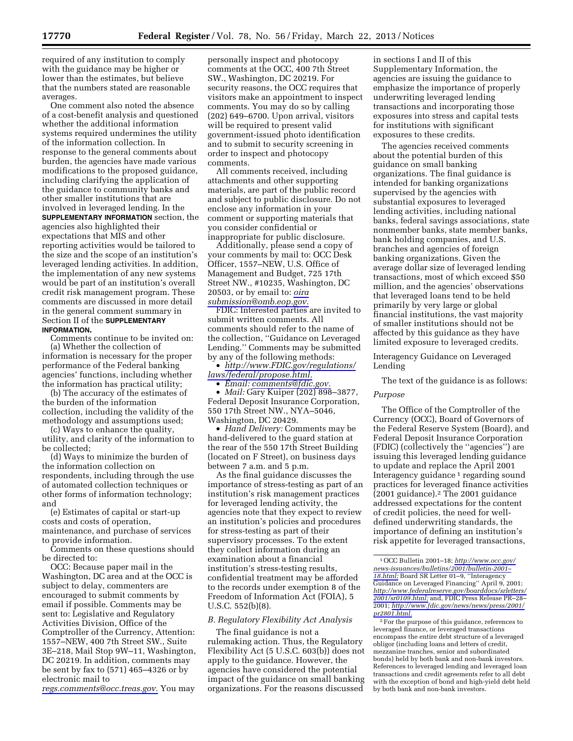required of any institution to comply with the guidance may be higher or lower than the estimates, but believe that the numbers stated are reasonable averages.

One comment also noted the absence of a cost-benefit analysis and questioned whether the additional information systems required undermines the utility of the information collection. In response to the general comments about burden, the agencies have made various modifications to the proposed guidance, including clarifying the application of the guidance to community banks and other smaller institutions that are involved in leveraged lending. In the **SUPPLEMENTARY INFORMATION** section, the agencies also highlighted their expectations that MIS and other reporting activities would be tailored to the size and the scope of an institution's leveraged lending activities. In addition, the implementation of any new systems would be part of an institution's overall credit risk management program. These comments are discussed in more detail in the general comment summary in Section II of the **SUPPLEMENTARY INFORMATION.** 

Comments continue to be invited on: (a) Whether the collection of

information is necessary for the proper performance of the Federal banking agencies' functions, including whether the information has practical utility;

(b) The accuracy of the estimates of the burden of the information collection, including the validity of the methodology and assumptions used;

(c) Ways to enhance the quality, utility, and clarity of the information to be collected;

(d) Ways to minimize the burden of the information collection on respondents, including through the use of automated collection techniques or other forms of information technology; and

(e) Estimates of capital or start-up costs and costs of operation, maintenance, and purchase of services to provide information.

Comments on these questions should be directed to:

OCC: Because paper mail in the Washington, DC area and at the OCC is subject to delay, commenters are encouraged to submit comments by email if possible. Comments may be sent to: Legislative and Regulatory Activities Division, Office of the Comptroller of the Currency, Attention: 1557–NEW, 400 7th Street SW., Suite 3E–218, Mail Stop 9W–11, Washington, DC 20219. In addition, comments may be sent by fax to (571) 465–4326 or by electronic mail to

*[regs.comments@occ.treas.gov.](mailto:regs.comments@occ.treas.gov)* You may

personally inspect and photocopy comments at the OCC, 400 7th Street SW., Washington, DC 20219. For security reasons, the OCC requires that visitors make an appointment to inspect comments. You may do so by calling (202) 649–6700. Upon arrival, visitors will be required to present valid government-issued photo identification and to submit to security screening in order to inspect and photocopy comments.

All comments received, including attachments and other supporting materials, are part of the public record and subject to public disclosure. Do not enclose any information in your comment or supporting materials that you consider confidential or inappropriate for public disclosure.

Additionally, please send a copy of your comments by mail to: OCC Desk Officer, 1557–NEW, U.S. Office of Management and Budget, 725 17th Street NW., #10235, Washington, DC 20503, or by email to: *[oira](mailto:oirasubmission@omb.eop.gov) [submission@omb.eop.gov.](mailto:oirasubmission@omb.eop.gov)* 

FDIC: Interested parties are invited to submit written comments. All comments should refer to the name of the collection, ''Guidance on Leveraged Lending.'' Comments may be submitted by any of the following methods:

• *[http://www.FDIC.gov/regulations/](http://www.FDIC.gov/regulations/laws/federal/propose.html) [laws/federal/propose.html.](http://www.FDIC.gov/regulations/laws/federal/propose.html)* 

• *Email: [comments@fdic.gov.](mailto:comments@fdic.gov)* 

• *Mail:* Gary Kuiper (202) 898–3877, Federal Deposit Insurance Corporation, 550 17th Street NW., NYA–5046, Washington, DC 20429.

• *Hand Delivery:* Comments may be hand-delivered to the guard station at the rear of the 550 17th Street Building (located on F Street), on business days between 7 a.m. and 5 p.m.

As the final guidance discusses the importance of stress-testing as part of an institution's risk management practices for leveraged lending activity, the agencies note that they expect to review an institution's policies and procedures for stress-testing as part of their supervisory processes. To the extent they collect information during an examination about a financial institution's stress-testing results, confidential treatment may be afforded to the records under exemption 8 of the Freedom of Information Act (FOIA), 5 U.S.C. 552(b)(8).

### *B. Regulatory Flexibility Act Analysis*

The final guidance is not a rulemaking action. Thus, the Regulatory Flexibility Act (5 U.S.C. 603(b)) does not apply to the guidance. However, the agencies have considered the potential impact of the guidance on small banking organizations. For the reasons discussed

in sections I and II of this Supplementary Information, the agencies are issuing the guidance to emphasize the importance of properly underwriting leveraged lending transactions and incorporating those exposures into stress and capital tests for institutions with significant exposures to these credits.

The agencies received comments about the potential burden of this guidance on small banking organizations. The final guidance is intended for banking organizations supervised by the agencies with substantial exposures to leveraged lending activities, including national banks, federal savings associations, state nonmember banks, state member banks, bank holding companies, and U.S. branches and agencies of foreign banking organizations. Given the average dollar size of leveraged lending transactions, most of which exceed \$50 million, and the agencies' observations that leveraged loans tend to be held primarily by very large or global financial institutions, the vast majority of smaller institutions should not be affected by this guidance as they have limited exposure to leveraged credits.

Interagency Guidance on Leveraged Lending

The text of the guidance is as follows:

# *Purpose*

The Office of the Comptroller of the Currency (OCC), Board of Governors of the Federal Reserve System (Board), and Federal Deposit Insurance Corporation (FDIC) (collectively the ''agencies'') are issuing this leveraged lending guidance to update and replace the April 2001 Interagency guidance  $\frac{1}{1}$  regarding sound practices for leveraged finance activities (2001 guidance).2 The 2001 guidance addressed expectations for the content of credit policies, the need for welldefined underwriting standards, the importance of defining an institution's risk appetite for leveraged transactions,

2For the purpose of this guidance, references to leveraged finance, or leveraged transactions encompass the entire debt structure of a leveraged obligor (including loans and letters of credit, mezzanine tranches, senior and subordinated bonds) held by both bank and non-bank investors. References to leveraged lending and leveraged loan transactions and credit agreements refer to all debt with the exception of bond and high-yield debt held by both bank and non-bank investors.

<sup>1</sup>OCC Bulletin 2001–18; *[http://www.occ.gov/](http://www.occ.gov/news-issuances/bulletins/2001/bulletin-2001-18.html) [news-issuances/bulletins/2001/bulletin-2001–](http://www.occ.gov/news-issuances/bulletins/2001/bulletin-2001-18.html)  [18.html;](http://www.occ.gov/news-issuances/bulletins/2001/bulletin-2001-18.html)* Board SR Letter 01–9, ''Interagency Guidance on Leveraged Financing'' April 9, 2001; *[http://www.federalreserve.gov/boarddocs/srletters/](http://www.federalreserve.gov/boarddocs/srletters/2001/sr0109.html)  [2001/sr0109.html;](http://www.federalreserve.gov/boarddocs/srletters/2001/sr0109.html)* and, FDIC Press Release PR–28– 2001; *[http://www.fdic.gov/news/news/press/2001/](http://www.fdic.gov/news/news/press/2001/pr2801.html)  [pr2801.html.](http://www.fdic.gov/news/news/press/2001/pr2801.html)*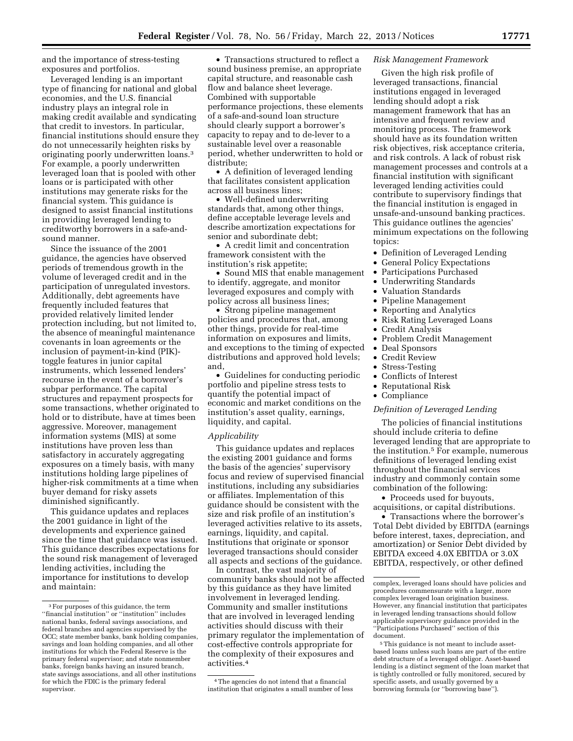and the importance of stress-testing exposures and portfolios.

Leveraged lending is an important type of financing for national and global economies, and the U.S. financial industry plays an integral role in making credit available and syndicating that credit to investors. In particular, financial institutions should ensure they do not unnecessarily heighten risks by originating poorly underwritten loans.3 For example, a poorly underwritten leveraged loan that is pooled with other loans or is participated with other institutions may generate risks for the financial system. This guidance is designed to assist financial institutions in providing leveraged lending to creditworthy borrowers in a safe-andsound manner.

Since the issuance of the 2001 guidance, the agencies have observed periods of tremendous growth in the volume of leveraged credit and in the participation of unregulated investors. Additionally, debt agreements have frequently included features that provided relatively limited lender protection including, but not limited to, the absence of meaningful maintenance covenants in loan agreements or the inclusion of payment-in-kind (PIK) toggle features in junior capital instruments, which lessened lenders' recourse in the event of a borrower's subpar performance. The capital structures and repayment prospects for some transactions, whether originated to hold or to distribute, have at times been aggressive. Moreover, management information systems (MIS) at some institutions have proven less than satisfactory in accurately aggregating exposures on a timely basis, with many institutions holding large pipelines of higher-risk commitments at a time when buyer demand for risky assets diminished significantly.

This guidance updates and replaces the 2001 guidance in light of the developments and experience gained since the time that guidance was issued. This guidance describes expectations for the sound risk management of leveraged lending activities, including the importance for institutions to develop and maintain:

• Transactions structured to reflect a sound business premise, an appropriate capital structure, and reasonable cash flow and balance sheet leverage. Combined with supportable performance projections, these elements of a safe-and-sound loan structure should clearly support a borrower's capacity to repay and to de-lever to a sustainable level over a reasonable period, whether underwritten to hold or distribute;

• A definition of leveraged lending that facilitates consistent application across all business lines;

• Well-defined underwriting standards that, among other things, define acceptable leverage levels and describe amortization expectations for senior and subordinate debt;

• A credit limit and concentration framework consistent with the institution's risk appetite;

• Sound MIS that enable management to identify, aggregate, and monitor leveraged exposures and comply with policy across all business lines;

• Strong pipeline management policies and procedures that, among other things, provide for real-time information on exposures and limits, and exceptions to the timing of expected distributions and approved hold levels; and,

• Guidelines for conducting periodic portfolio and pipeline stress tests to quantify the potential impact of economic and market conditions on the institution's asset quality, earnings, liquidity, and capital.

# *Applicability*

This guidance updates and replaces the existing 2001 guidance and forms the basis of the agencies' supervisory focus and review of supervised financial institutions, including any subsidiaries or affiliates. Implementation of this guidance should be consistent with the size and risk profile of an institution's leveraged activities relative to its assets, earnings, liquidity, and capital. Institutions that originate or sponsor leveraged transactions should consider all aspects and sections of the guidance.

In contrast, the vast majority of community banks should not be affected by this guidance as they have limited involvement in leveraged lending. Community and smaller institutions that are involved in leveraged lending activities should discuss with their primary regulator the implementation of cost-effective controls appropriate for the complexity of their exposures and activities.4

## *Risk Management Framework*

Given the high risk profile of leveraged transactions, financial institutions engaged in leveraged lending should adopt a risk management framework that has an intensive and frequent review and monitoring process. The framework should have as its foundation written risk objectives, risk acceptance criteria, and risk controls. A lack of robust risk management processes and controls at a financial institution with significant leveraged lending activities could contribute to supervisory findings that the financial institution is engaged in unsafe-and-unsound banking practices. This guidance outlines the agencies' minimum expectations on the following topics:

- Definition of Leveraged Lending
- General Policy Expectations
- Participations Purchased
- Underwriting Standards
- Valuation Standards
- Pipeline Management
- Reporting and Analytics
- Risk Rating Leveraged Loans
- Credit Analysis
- Problem Credit Management
- Deal Sponsors
- Credit Review
- Stress-Testing
- Conflicts of Interest
- Reputational Risk
- Compliance

# *Definition of Leveraged Lending*

The policies of financial institutions should include criteria to define leveraged lending that are appropriate to the institution.5 For example, numerous definitions of leveraged lending exist throughout the financial services industry and commonly contain some combination of the following:

• Proceeds used for buyouts, acquisitions, or capital distributions.

• Transactions where the borrower's Total Debt divided by EBITDA (earnings before interest, taxes, depreciation, and amortization) or Senior Debt divided by EBITDA exceed 4.0X EBITDA or 3.0X EBITDA, respectively, or other defined

<sup>3</sup>For purposes of this guidance, the term ''financial institution'' or ''institution'' includes national banks, federal savings associations, and federal branches and agencies supervised by the OCC; state member banks, bank holding companies, savings and loan holding companies, and all other institutions for which the Federal Reserve is the primary federal supervisor; and state nonmember banks, foreign banks having an insured branch, state savings associations, and all other institutions for which the FDIC is the primary federal supervisor.

<sup>4</sup>The agencies do not intend that a financial institution that originates a small number of less

complex, leveraged loans should have policies and procedures commensurate with a larger, more complex leveraged loan origination business. However, any financial institution that participates in leveraged lending transactions should follow applicable supervisory guidance provided in the ''Participations Purchased'' section of this document.

<sup>5</sup>This guidance is not meant to include assetbased loans unless such loans are part of the entire debt structure of a leveraged obligor. Asset-based lending is a distinct segment of the loan market that is tightly controlled or fully monitored, secured by specific assets, and usually governed by a borrowing formula (or ''borrowing base'').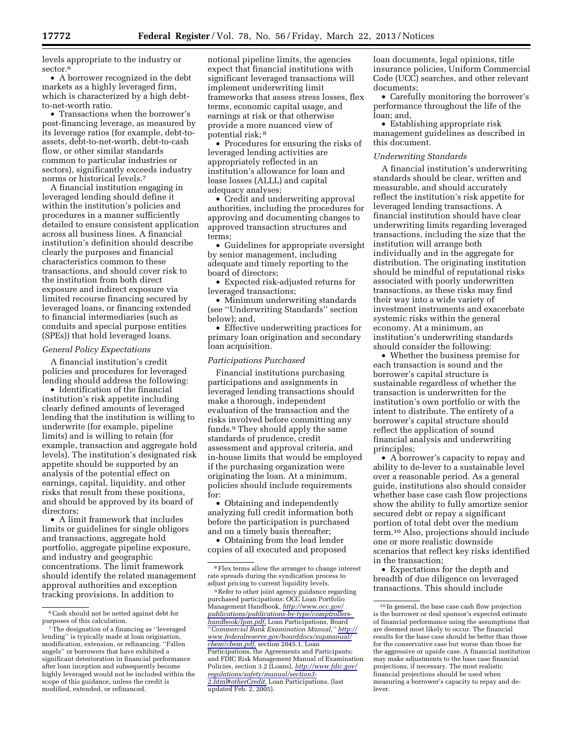levels appropriate to the industry or sector.<sup>6</sup>

• A borrower recognized in the debt markets as a highly leveraged firm, which is characterized by a high debtto-net-worth ratio.

• Transactions when the borrower's post-financing leverage, as measured by its leverage ratios (for example, debt-toassets, debt-to-net-worth, debt-to-cash flow, or other similar standards common to particular industries or sectors), significantly exceeds industry norms or historical levels.7

A financial institution engaging in leveraged lending should define it within the institution's policies and procedures in a manner sufficiently detailed to ensure consistent application across all business lines. A financial institution's definition should describe clearly the purposes and financial characteristics common to these transactions, and should cover risk to the institution from both direct exposure and indirect exposure via limited recourse financing secured by leveraged loans, or financing extended to financial intermediaries (such as conduits and special purpose entities (SPEs)) that hold leveraged loans.

## *General Policy Expectations*

A financial institution's credit policies and procedures for leveraged lending should address the following:

• Identification of the financial institution's risk appetite including clearly defined amounts of leveraged lending that the institution is willing to underwrite (for example, pipeline limits) and is willing to retain (for example, transaction and aggregate hold levels). The institution's designated risk appetite should be supported by an analysis of the potential effect on earnings, capital, liquidity, and other risks that result from these positions, and should be approved by its board of directors;

• A limit framework that includes limits or guidelines for single obligors and transactions, aggregate hold portfolio, aggregate pipeline exposure, and industry and geographic concentrations. The limit framework should identify the related management approval authorities and exception tracking provisions. In addition to

notional pipeline limits, the agencies expect that financial institutions with significant leveraged transactions will implement underwriting limit frameworks that assess stress losses, flex terms, economic capital usage, and earnings at risk or that otherwise provide a more nuanced view of potential risk; 8

• Procedures for ensuring the risks of leveraged lending activities are appropriately reflected in an institution's allowance for loan and lease losses (ALLL) and capital adequacy analyses;

• Credit and underwriting approval authorities, including the procedures for approving and documenting changes to approved transaction structures and terms;

• Guidelines for appropriate oversight by senior management, including adequate and timely reporting to the board of directors;

• Expected risk-adjusted returns for leveraged transactions;

• Minimum underwriting standards (see ''Underwriting Standards'' section below); and,

• Effective underwriting practices for primary loan origination and secondary loan acquisition.

# *Participations Purchased*

Financial institutions purchasing participations and assignments in leveraged lending transactions should make a thorough, independent evaluation of the transaction and the risks involved before committing any funds.9 They should apply the same standards of prudence, credit assessment and approval criteria, and in-house limits that would be employed if the purchasing organization were originating the loan. At a minimum, policies should include requirements for:

• Obtaining and independently analyzing full credit information both before the participation is purchased and on a timely basis thereafter;

• Obtaining from the lead lender copies of all executed and proposed loan documents, legal opinions, title insurance policies, Uniform Commercial Code (UCC) searches, and other relevant documents;

• Carefully monitoring the borrower's performance throughout the life of the loan; and,

• Establishing appropriate risk management guidelines as described in this document.

### *Underwriting Standards*

A financial institution's underwriting standards should be clear, written and measurable, and should accurately reflect the institution's risk appetite for leveraged lending transactions. A financial institution should have clear underwriting limits regarding leveraged transactions, including the size that the institution will arrange both individually and in the aggregate for distribution. The originating institution should be mindful of reputational risks associated with poorly underwritten transactions, as these risks may find their way into a wide variety of investment instruments and exacerbate systemic risks within the general economy. At a minimum, an institution's underwriting standards should consider the following:

• Whether the business premise for each transaction is sound and the borrower's capital structure is sustainable regardless of whether the transaction is underwritten for the institution's own portfolio or with the intent to distribute. The entirety of a borrower's capital structure should reflect the application of sound financial analysis and underwriting principles;

• A borrower's capacity to repay and ability to de-lever to a sustainable level over a reasonable period. As a general guide, institutions also should consider whether base case cash flow projections show the ability to fully amortize senior secured debt or repay a significant portion of total debt over the medium term.10 Also, projections should include one or more realistic downside scenarios that reflect key risks identified in the transaction;

• Expectations for the depth and breadth of due diligence on leveraged transactions. This should include

<sup>6</sup>Cash should not be netted against debt for purposes of this calculation.

<sup>7</sup>The designation of a financing as ''leveraged lending'' is typically made at loan origination, modification, extension, or refinancing. ''Fallen angels'' or borrowers that have exhibited a significant deterioration in financial performance after loan inception and subsequently become highly leveraged would not be included within the scope of this guidance, unless the credit is modified, extended, or refinanced.

<sup>8</sup>Flex terms allow the arranger to change interest rate spreads during the syndication process to adjust pricing to current liquidity levels.

<sup>9</sup>Refer to other joint agency guidance regarding purchased participations: OCC Loan Portfolio Management Handbook, *[http://www.occ.gov/](http://www.occ.gov/publications/publications-by-type/comptrollers-handbook/lpm.pdf) [publications/publications-by-type/comptrollers](http://www.occ.gov/publications/publications-by-type/comptrollers-handbook/lpm.pdf)[handbook/lpm.pdf,](http://www.occ.gov/publications/publications-by-type/comptrollers-handbook/lpm.pdf)* Loan Participations, Board ''*Commercial Bank Examination Manual,'' [http://](http://www.federalreserve.gov/boarddocs/supmanual/cbem/cbem.pdf)  [www.federalreserve.gov/boarddocs/supmanual/](http://www.federalreserve.gov/boarddocs/supmanual/cbem/cbem.pdf) [cbem/cbem.pdf,](http://www.federalreserve.gov/boarddocs/supmanual/cbem/cbem.pdf)* section 2045.1, Loan Participations, the Agreements and Participants; and FDIC Risk Management Manual of Examination Policies, section 3.2 (Loans), *[http://www.fdic.gov/](http://www.fdic.gov/regulations/safety/manual/section3-2.html#otherCredit)  [regulations/safety/manual/section3-](http://www.fdic.gov/regulations/safety/manual/section3-2.html#otherCredit)  [2.html#otherCredit,](http://www.fdic.gov/regulations/safety/manual/section3-2.html#otherCredit)* Loan Participations, (last updated Feb. 2, 2005).

<sup>10</sup> In general, the base case cash flow projection is the borrower or deal sponsor's expected estimate of financial performance using the assumptions that are deemed most likely to occur. The financial results for the base case should be better than those for the conservative case but worse than those for the aggressive or upside case. A financial institution may make adjustments to the base case financial projections, if necessary. The most realistic financial projections should be used when measuring a borrower's capacity to repay and delever.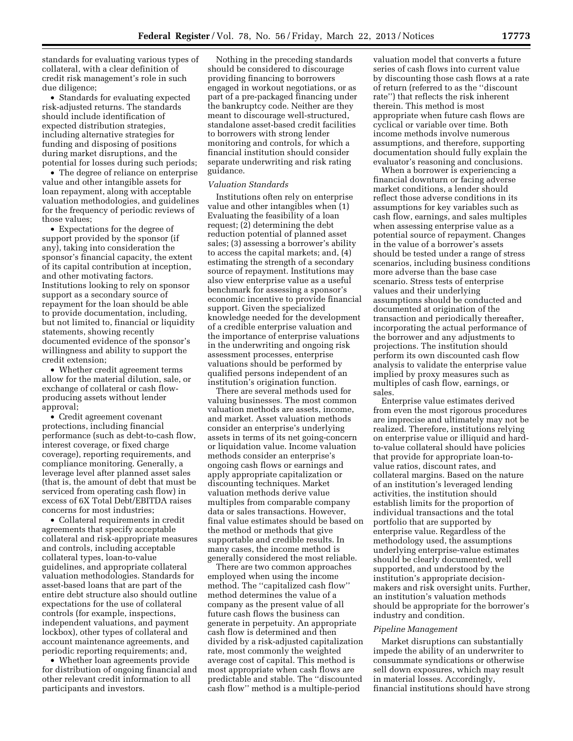standards for evaluating various types of collateral, with a clear definition of credit risk management's role in such due diligence;

• Standards for evaluating expected risk-adjusted returns. The standards should include identification of expected distribution strategies, including alternative strategies for funding and disposing of positions during market disruptions, and the potential for losses during such periods;

• The degree of reliance on enterprise value and other intangible assets for loan repayment, along with acceptable valuation methodologies, and guidelines for the frequency of periodic reviews of those values;

• Expectations for the degree of support provided by the sponsor (if any), taking into consideration the sponsor's financial capacity, the extent of its capital contribution at inception, and other motivating factors. Institutions looking to rely on sponsor support as a secondary source of repayment for the loan should be able to provide documentation, including, but not limited to, financial or liquidity statements, showing recently documented evidence of the sponsor's willingness and ability to support the credit extension;

• Whether credit agreement terms allow for the material dilution, sale, or exchange of collateral or cash flowproducing assets without lender approval;

• Credit agreement covenant protections, including financial performance (such as debt-to-cash flow, interest coverage, or fixed charge coverage), reporting requirements, and compliance monitoring. Generally, a leverage level after planned asset sales (that is, the amount of debt that must be serviced from operating cash flow) in excess of 6X Total Debt/EBITDA raises concerns for most industries;

• Collateral requirements in credit agreements that specify acceptable collateral and risk-appropriate measures and controls, including acceptable collateral types, loan-to-value guidelines, and appropriate collateral valuation methodologies. Standards for asset-based loans that are part of the entire debt structure also should outline expectations for the use of collateral controls (for example, inspections, independent valuations, and payment lockbox), other types of collateral and account maintenance agreements, and periodic reporting requirements; and,

• Whether loan agreements provide for distribution of ongoing financial and other relevant credit information to all participants and investors.

Nothing in the preceding standards should be considered to discourage providing financing to borrowers engaged in workout negotiations, or as part of a pre-packaged financing under the bankruptcy code. Neither are they meant to discourage well-structured, standalone asset-based credit facilities to borrowers with strong lender monitoring and controls, for which a financial institution should consider separate underwriting and risk rating guidance.

## *Valuation Standards*

Institutions often rely on enterprise value and other intangibles when (1) Evaluating the feasibility of a loan request;  $(2)$  determining the debt reduction potential of planned asset sales; (3) assessing a borrower's ability to access the capital markets; and, (4) estimating the strength of a secondary source of repayment. Institutions may also view enterprise value as a useful benchmark for assessing a sponsor's economic incentive to provide financial support. Given the specialized knowledge needed for the development of a credible enterprise valuation and the importance of enterprise valuations in the underwriting and ongoing risk assessment processes, enterprise valuations should be performed by qualified persons independent of an institution's origination function.

There are several methods used for valuing businesses. The most common valuation methods are assets, income, and market. Asset valuation methods consider an enterprise's underlying assets in terms of its net going-concern or liquidation value. Income valuation methods consider an enterprise's ongoing cash flows or earnings and apply appropriate capitalization or discounting techniques. Market valuation methods derive value multiples from comparable company data or sales transactions. However, final value estimates should be based on the method or methods that give supportable and credible results. In many cases, the income method is generally considered the most reliable.

There are two common approaches employed when using the income method. The ''capitalized cash flow'' method determines the value of a company as the present value of all future cash flows the business can generate in perpetuity. An appropriate cash flow is determined and then divided by a risk-adjusted capitalization rate, most commonly the weighted average cost of capital. This method is most appropriate when cash flows are predictable and stable. The ''discounted cash flow'' method is a multiple-period

valuation model that converts a future series of cash flows into current value by discounting those cash flows at a rate of return (referred to as the ''discount rate'') that reflects the risk inherent therein. This method is most appropriate when future cash flows are cyclical or variable over time. Both income methods involve numerous assumptions, and therefore, supporting documentation should fully explain the evaluator's reasoning and conclusions.

When a borrower is experiencing a financial downturn or facing adverse market conditions, a lender should reflect those adverse conditions in its assumptions for key variables such as cash flow, earnings, and sales multiples when assessing enterprise value as a potential source of repayment. Changes in the value of a borrower's assets should be tested under a range of stress scenarios, including business conditions more adverse than the base case scenario. Stress tests of enterprise values and their underlying assumptions should be conducted and documented at origination of the transaction and periodically thereafter, incorporating the actual performance of the borrower and any adjustments to projections. The institution should perform its own discounted cash flow analysis to validate the enterprise value implied by proxy measures such as multiples of cash flow, earnings, or sales.

Enterprise value estimates derived from even the most rigorous procedures are imprecise and ultimately may not be realized. Therefore, institutions relying on enterprise value or illiquid and hardto-value collateral should have policies that provide for appropriate loan-tovalue ratios, discount rates, and collateral margins. Based on the nature of an institution's leveraged lending activities, the institution should establish limits for the proportion of individual transactions and the total portfolio that are supported by enterprise value. Regardless of the methodology used, the assumptions underlying enterprise-value estimates should be clearly documented, well supported, and understood by the institution's appropriate decisionmakers and risk oversight units. Further, an institution's valuation methods should be appropriate for the borrower's industry and condition.

#### *Pipeline Management*

Market disruptions can substantially impede the ability of an underwriter to consummate syndications or otherwise sell down exposures, which may result in material losses. Accordingly, financial institutions should have strong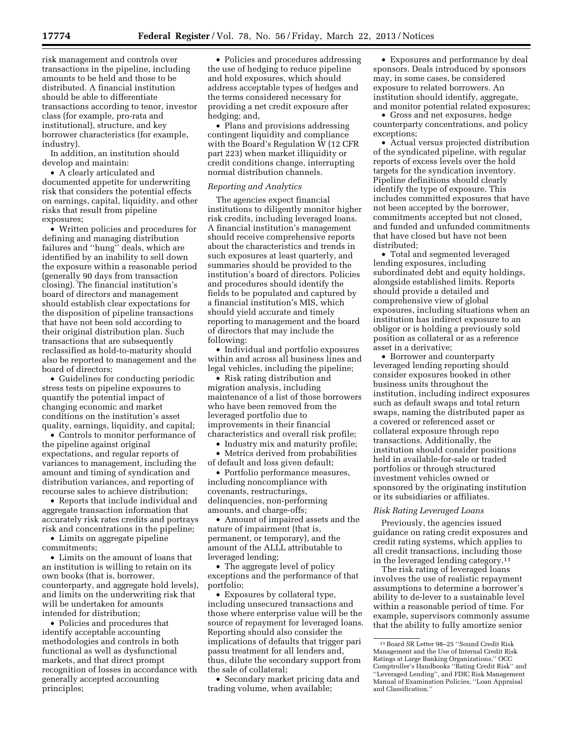risk management and controls over transactions in the pipeline, including amounts to be held and those to be distributed. A financial institution should be able to differentiate transactions according to tenor, investor class (for example, pro-rata and institutional), structure, and key borrower characteristics (for example, industry).

In addition, an institution should develop and maintain:

• A clearly articulated and documented appetite for underwriting risk that considers the potential effects on earnings, capital, liquidity, and other risks that result from pipeline exposures;

• Written policies and procedures for defining and managing distribution failures and ''hung'' deals, which are identified by an inability to sell down the exposure within a reasonable period (generally 90 days from transaction closing). The financial institution's board of directors and management should establish clear expectations for the disposition of pipeline transactions that have not been sold according to their original distribution plan. Such transactions that are subsequently reclassified as hold-to-maturity should also be reported to management and the board of directors;

• Guidelines for conducting periodic stress tests on pipeline exposures to quantify the potential impact of changing economic and market conditions on the institution's asset quality, earnings, liquidity, and capital;

• Controls to monitor performance of the pipeline against original expectations, and regular reports of variances to management, including the amount and timing of syndication and distribution variances, and reporting of recourse sales to achieve distribution;

• Reports that include individual and aggregate transaction information that accurately risk rates credits and portrays risk and concentrations in the pipeline;

• Limits on aggregate pipeline commitments;

• Limits on the amount of loans that an institution is willing to retain on its own books (that is, borrower, counterparty, and aggregate hold levels), and limits on the underwriting risk that will be undertaken for amounts intended for distribution;

• Policies and procedures that identify acceptable accounting methodologies and controls in both functional as well as dysfunctional markets, and that direct prompt recognition of losses in accordance with generally accepted accounting principles;

• Policies and procedures addressing the use of hedging to reduce pipeline and hold exposures, which should address acceptable types of hedges and the terms considered necessary for providing a net credit exposure after hedging; and,

• Plans and provisions addressing contingent liquidity and compliance with the Board's Regulation W (12 CFR part 223) when market illiquidity or credit conditions change, interrupting normal distribution channels.

#### *Reporting and Analytics*

The agencies expect financial institutions to diligently monitor higher risk credits, including leveraged loans. A financial institution's management should receive comprehensive reports about the characteristics and trends in such exposures at least quarterly, and summaries should be provided to the institution's board of directors. Policies and procedures should identify the fields to be populated and captured by a financial institution's MIS, which should yield accurate and timely reporting to management and the board of directors that may include the following:

• Individual and portfolio exposures within and across all business lines and legal vehicles, including the pipeline;

• Risk rating distribution and migration analysis, including maintenance of a list of those borrowers who have been removed from the leveraged portfolio due to improvements in their financial characteristics and overall risk profile;

• Industry mix and maturity profile;

• Metrics derived from probabilities of default and loss given default;

• Portfolio performance measures, including noncompliance with covenants, restructurings, delinquencies, non-performing amounts, and charge-offs;

• Amount of impaired assets and the nature of impairment (that is, permanent, or temporary), and the amount of the ALLL attributable to leveraged lending;

• The aggregate level of policy exceptions and the performance of that portfolio;

• Exposures by collateral type, including unsecured transactions and those where enterprise value will be the source of repayment for leveraged loans. Reporting should also consider the implications of defaults that trigger pari passu treatment for all lenders and, thus, dilute the secondary support from the sale of collateral;

• Secondary market pricing data and trading volume, when available;

• Exposures and performance by deal sponsors. Deals introduced by sponsors may, in some cases, be considered exposure to related borrowers. An institution should identify, aggregate, and monitor potential related exposures;

• Gross and net exposures, hedge counterparty concentrations, and policy exceptions;

• Actual versus projected distribution of the syndicated pipeline, with regular reports of excess levels over the hold targets for the syndication inventory. Pipeline definitions should clearly identify the type of exposure. This includes committed exposures that have not been accepted by the borrower, commitments accepted but not closed, and funded and unfunded commitments that have closed but have not been distributed;

• Total and segmented leveraged lending exposures, including subordinated debt and equity holdings, alongside established limits. Reports should provide a detailed and comprehensive view of global exposures, including situations when an institution has indirect exposure to an obligor or is holding a previously sold position as collateral or as a reference asset in a derivative;

• Borrower and counterparty leveraged lending reporting should consider exposures booked in other business units throughout the institution, including indirect exposures such as default swaps and total return swaps, naming the distributed paper as a covered or referenced asset or collateral exposure through repo transactions. Additionally, the institution should consider positions held in available-for-sale or traded portfolios or through structured investment vehicles owned or sponsored by the originating institution or its subsidiaries or affiliates.

#### *Risk Rating Leveraged Loans*

Previously, the agencies issued guidance on rating credit exposures and credit rating systems, which applies to all credit transactions, including those in the leveraged lending category.11

The risk rating of leveraged loans involves the use of realistic repayment assumptions to determine a borrower's ability to de-lever to a sustainable level within a reasonable period of time. For example, supervisors commonly assume that the ability to fully amortize senior

<sup>11</sup>Board SR Letter 98–25 ''Sound Credit Risk Management and the Use of Internal Credit Risk Ratings at Large Banking Organizations;'' OCC Comptroller's Handbooks ''Rating Credit Risk'' and ''Leveraged Lending'', and FDIC Risk Management Manual of Examination Policies, ''Loan Appraisal and Classification.''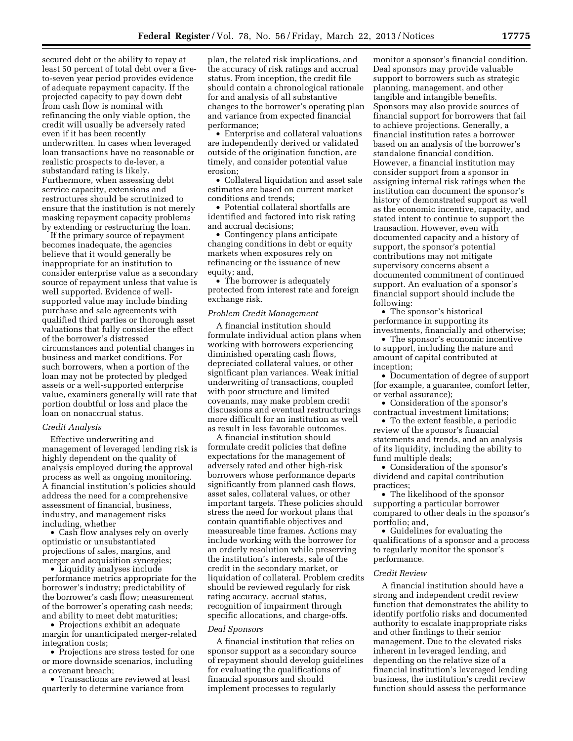secured debt or the ability to repay at least 50 percent of total debt over a fiveto-seven year period provides evidence of adequate repayment capacity. If the projected capacity to pay down debt from cash flow is nominal with refinancing the only viable option, the credit will usually be adversely rated even if it has been recently underwritten. In cases when leveraged loan transactions have no reasonable or realistic prospects to de-lever, a substandard rating is likely. Furthermore, when assessing debt service capacity, extensions and restructures should be scrutinized to ensure that the institution is not merely masking repayment capacity problems by extending or restructuring the loan.

If the primary source of repayment becomes inadequate, the agencies believe that it would generally be inappropriate for an institution to consider enterprise value as a secondary source of repayment unless that value is well supported. Evidence of wellsupported value may include binding purchase and sale agreements with qualified third parties or thorough asset valuations that fully consider the effect of the borrower's distressed circumstances and potential changes in business and market conditions. For such borrowers, when a portion of the loan may not be protected by pledged assets or a well-supported enterprise value, examiners generally will rate that portion doubtful or loss and place the loan on nonaccrual status.

# *Credit Analysis*

Effective underwriting and management of leveraged lending risk is highly dependent on the quality of analysis employed during the approval process as well as ongoing monitoring. A financial institution's policies should address the need for a comprehensive assessment of financial, business, industry, and management risks including, whether

• Cash flow analyses rely on overly optimistic or unsubstantiated projections of sales, margins, and merger and acquisition synergies;

• Liquidity analyses include performance metrics appropriate for the borrower's industry; predictability of the borrower's cash flow; measurement of the borrower's operating cash needs; and ability to meet debt maturities;

• Projections exhibit an adequate margin for unanticipated merger-related integration costs;

• Projections are stress tested for one or more downside scenarios, including a covenant breach;

• Transactions are reviewed at least quarterly to determine variance from

plan, the related risk implications, and the accuracy of risk ratings and accrual status. From inception, the credit file should contain a chronological rationale for and analysis of all substantive changes to the borrower's operating plan and variance from expected financial performance;

• Enterprise and collateral valuations are independently derived or validated outside of the origination function, are timely, and consider potential value erosion;

• Collateral liquidation and asset sale estimates are based on current market conditions and trends;

• Potential collateral shortfalls are identified and factored into risk rating and accrual decisions;

• Contingency plans anticipate changing conditions in debt or equity markets when exposures rely on refinancing or the issuance of new equity; and,

• The borrower is adequately protected from interest rate and foreign exchange risk.

## *Problem Credit Management*

A financial institution should formulate individual action plans when working with borrowers experiencing diminished operating cash flows, depreciated collateral values, or other significant plan variances. Weak initial underwriting of transactions, coupled with poor structure and limited covenants, may make problem credit discussions and eventual restructurings more difficult for an institution as well as result in less favorable outcomes.

A financial institution should formulate credit policies that define expectations for the management of adversely rated and other high-risk borrowers whose performance departs significantly from planned cash flows, asset sales, collateral values, or other important targets. These policies should stress the need for workout plans that contain quantifiable objectives and measureable time frames. Actions may include working with the borrower for an orderly resolution while preserving the institution's interests, sale of the credit in the secondary market, or liquidation of collateral. Problem credits should be reviewed regularly for risk rating accuracy, accrual status, recognition of impairment through specific allocations, and charge-offs.

#### *Deal Sponsors*

A financial institution that relies on sponsor support as a secondary source of repayment should develop guidelines for evaluating the qualifications of financial sponsors and should implement processes to regularly

monitor a sponsor's financial condition. Deal sponsors may provide valuable support to borrowers such as strategic planning, management, and other tangible and intangible benefits. Sponsors may also provide sources of financial support for borrowers that fail to achieve projections. Generally, a financial institution rates a borrower based on an analysis of the borrower's standalone financial condition. However, a financial institution may consider support from a sponsor in assigning internal risk ratings when the institution can document the sponsor's history of demonstrated support as well as the economic incentive, capacity, and stated intent to continue to support the transaction. However, even with documented capacity and a history of support, the sponsor's potential contributions may not mitigate supervisory concerns absent a documented commitment of continued support. An evaluation of a sponsor's financial support should include the following:

• The sponsor's historical performance in supporting its investments, financially and otherwise;

• The sponsor's economic incentive to support, including the nature and amount of capital contributed at inception;

• Documentation of degree of support (for example, a guarantee, comfort letter, or verbal assurance);

• Consideration of the sponsor's contractual investment limitations;

• To the extent feasible, a periodic review of the sponsor's financial statements and trends, and an analysis of its liquidity, including the ability to fund multiple deals;

• Consideration of the sponsor's dividend and capital contribution practices;

• The likelihood of the sponsor supporting a particular borrower compared to other deals in the sponsor's portfolio; and,

• Guidelines for evaluating the qualifications of a sponsor and a process to regularly monitor the sponsor's performance.

#### *Credit Review*

A financial institution should have a strong and independent credit review function that demonstrates the ability to identify portfolio risks and documented authority to escalate inappropriate risks and other findings to their senior management. Due to the elevated risks inherent in leveraged lending, and depending on the relative size of a financial institution's leveraged lending business, the institution's credit review function should assess the performance